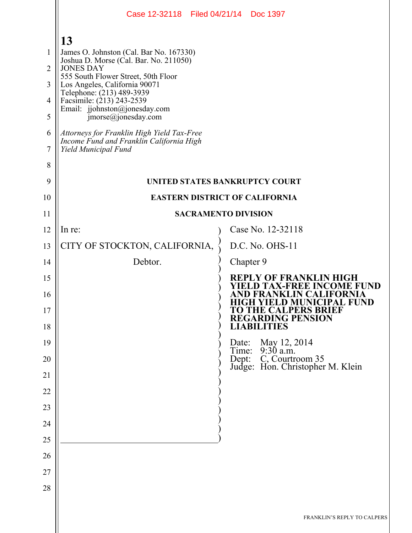|                                                                   | Case 12-32118 Filed 04/21/14 Doc 1397                                                                                                                                                                                                                                                                                                                           |                                                                                                    |
|-------------------------------------------------------------------|-----------------------------------------------------------------------------------------------------------------------------------------------------------------------------------------------------------------------------------------------------------------------------------------------------------------------------------------------------------------|----------------------------------------------------------------------------------------------------|
| 1<br>$\overline{2}$<br>$\overline{3}$<br>$\overline{4}$<br>5<br>6 | 13<br>James O. Johnston (Cal. Bar No. 167330)<br>Joshua D. Morse (Cal. Bar. No. 211050)<br><b>JONES DAY</b><br>555 South Flower Street, 50th Floor<br>Los Angeles, California 90071<br>Telephone: (213) 489-3939<br>Facsimile: (213) 243-2539<br>Email: jjohnston@jonesday.com<br>$\text{imorse}(a)$ jonesday.com<br>Attorneys for Franklin High Yield Tax-Free |                                                                                                    |
| 7<br>8                                                            | Income Fund and Franklin California High<br>Yield Municipal Fund                                                                                                                                                                                                                                                                                                |                                                                                                    |
| 9                                                                 |                                                                                                                                                                                                                                                                                                                                                                 | <b>UNITED STATES BANKRUPTCY COURT</b>                                                              |
| 10                                                                |                                                                                                                                                                                                                                                                                                                                                                 | <b>EASTERN DISTRICT OF CALIFORNIA</b>                                                              |
| 11                                                                |                                                                                                                                                                                                                                                                                                                                                                 | <b>SACRAMENTO DIVISION</b>                                                                         |
| 12                                                                | In re:                                                                                                                                                                                                                                                                                                                                                          | Case No. 12-32118                                                                                  |
| 13                                                                | CITY OF STOCKTON, CALIFORNIA,                                                                                                                                                                                                                                                                                                                                   | D.C. No. OHS-11                                                                                    |
| 14                                                                | Debtor.                                                                                                                                                                                                                                                                                                                                                         | Chapter 9                                                                                          |
| 15                                                                |                                                                                                                                                                                                                                                                                                                                                                 | REPLY OF FRANKLIN HIGH<br><b>X-FREE INCOME</b><br>FUND                                             |
| 16<br>17                                                          |                                                                                                                                                                                                                                                                                                                                                                 | 'D FRANKLIN CALIFORNIA<br>HIGH YIELD MUNICIPAL FÜND<br>TO THE CALPERS BRIEF<br>REGARDING PENSION   |
| 18                                                                |                                                                                                                                                                                                                                                                                                                                                                 | <b>LIABILITIES</b>                                                                                 |
| 19<br>20                                                          |                                                                                                                                                                                                                                                                                                                                                                 | Date: May 12, 2014<br>Time: 9:30 a.m.<br>Dept: C, Courtroom 35<br>Judge: Hon. Christopher M. Klein |
| 21                                                                |                                                                                                                                                                                                                                                                                                                                                                 |                                                                                                    |
| 22                                                                |                                                                                                                                                                                                                                                                                                                                                                 |                                                                                                    |
| 23                                                                |                                                                                                                                                                                                                                                                                                                                                                 |                                                                                                    |
| 24                                                                |                                                                                                                                                                                                                                                                                                                                                                 |                                                                                                    |
| 25                                                                |                                                                                                                                                                                                                                                                                                                                                                 |                                                                                                    |
| 26                                                                |                                                                                                                                                                                                                                                                                                                                                                 |                                                                                                    |
| 27                                                                |                                                                                                                                                                                                                                                                                                                                                                 |                                                                                                    |
| 28                                                                |                                                                                                                                                                                                                                                                                                                                                                 |                                                                                                    |
|                                                                   |                                                                                                                                                                                                                                                                                                                                                                 | FRANKLIN'S REPLY TO CALPERS                                                                        |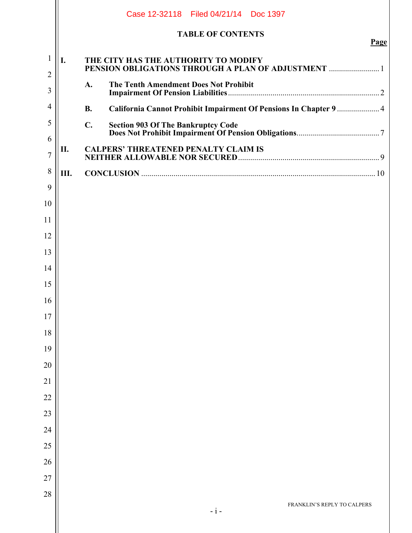|                                |                                                   | Case 12-32118 Filed 04/21/14 Doc 1397                                                       |      |
|--------------------------------|---------------------------------------------------|---------------------------------------------------------------------------------------------|------|
|                                |                                                   | <b>TABLE OF CONTENTS</b>                                                                    | Page |
| $\mathbf{1}$<br>$\overline{2}$ | I.                                                | THE CITY HAS THE AUTHORITY TO MODIFY<br>PENSION OBLIGATIONS THROUGH A PLAN OF ADJUSTMENT  1 |      |
| 3                              |                                                   | <b>The Tenth Amendment Does Not Prohibit</b><br>A.                                          |      |
| $\overline{4}$                 |                                                   | California Cannot Prohibit Impairment Of Pensions In Chapter 9  4<br><b>B.</b>              |      |
| 5                              |                                                   | $C_{\bullet}$<br><b>Section 903 Of The Bankruptcy Code</b>                                  |      |
| 6                              | <b>CALPERS' THREATENED PENALTY CLAIM IS</b><br>П. |                                                                                             |      |
| $\overline{7}$                 |                                                   |                                                                                             |      |
| 8                              | Ш.                                                |                                                                                             |      |
| 9<br>10                        |                                                   |                                                                                             |      |
| 11                             |                                                   |                                                                                             |      |
| 12                             |                                                   |                                                                                             |      |
| 13                             |                                                   |                                                                                             |      |
| 14                             |                                                   |                                                                                             |      |
| 15                             |                                                   |                                                                                             |      |
| 16                             |                                                   |                                                                                             |      |
| 17                             |                                                   |                                                                                             |      |
| 18                             |                                                   |                                                                                             |      |
| 19                             |                                                   |                                                                                             |      |
| 20                             |                                                   |                                                                                             |      |
| 21                             |                                                   |                                                                                             |      |
| 22                             |                                                   |                                                                                             |      |
| 23                             |                                                   |                                                                                             |      |
| 24                             |                                                   |                                                                                             |      |
| 25                             |                                                   |                                                                                             |      |
| 26                             |                                                   |                                                                                             |      |
| 27                             |                                                   |                                                                                             |      |
| 28                             |                                                   | FRANKLIN'S REPLY TO CALPERS                                                                 |      |
|                                |                                                   | $- i -$                                                                                     |      |
|                                |                                                   |                                                                                             |      |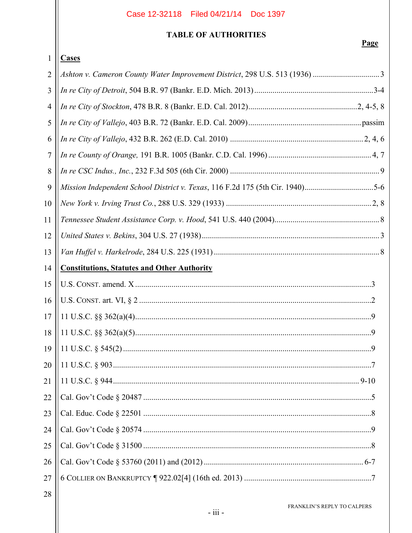# **TABLE OF AUTHORITIES**

|                | <b>Cases</b>                                                                  |
|----------------|-------------------------------------------------------------------------------|
| $\overline{2}$ | Ashton v. Cameron County Water Improvement District, 298 U.S. 513 (1936) 3    |
| 3              |                                                                               |
| $\overline{4}$ |                                                                               |
| 5              |                                                                               |
| 6              |                                                                               |
| 7              |                                                                               |
| 8              |                                                                               |
| 9              | Mission Independent School District v. Texas, 116 F.2d 175 (5th Cir. 1940)5-6 |
| 10             |                                                                               |
| 11             |                                                                               |
| 12             |                                                                               |
| 13             |                                                                               |
| 14             | <b>Constitutions, Statutes and Other Authority</b>                            |
| 15             |                                                                               |
| 16             |                                                                               |
| 17             |                                                                               |
| 18             |                                                                               |
| 19             |                                                                               |
| 20             |                                                                               |
| 21             |                                                                               |
| 22             |                                                                               |
| 23             |                                                                               |
| 24             |                                                                               |
| 25             |                                                                               |
| 26             |                                                                               |
| 27             |                                                                               |
| 28             |                                                                               |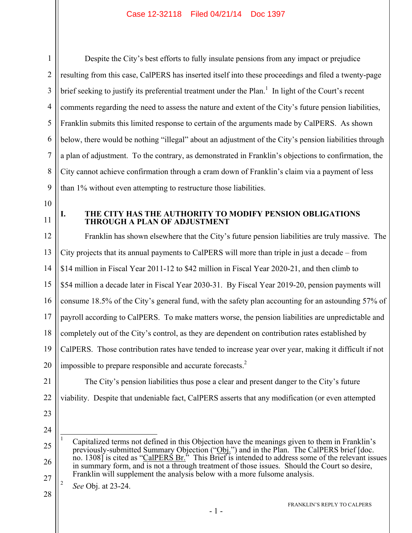1 2 3 4 5 6 7 8 9 Despite the City's best efforts to fully insulate pensions from any impact or prejudice resulting from this case, CalPERS has inserted itself into these proceedings and filed a twenty-page brief seeking to justify its preferential treatment under the Plan.<sup>1</sup> In light of the Court's recent comments regarding the need to assess the nature and extent of the City's future pension liabilities, Franklin submits this limited response to certain of the arguments made by CalPERS. As shown below, there would be nothing "illegal" about an adjustment of the City's pension liabilities through a plan of adjustment. To the contrary, as demonstrated in Franklin's objections to confirmation, the City cannot achieve confirmation through a cram down of Franklin's claim via a payment of less than 1% without even attempting to restructure those liabilities.

- 10
- 11

### **I. THE CITY HAS THE AUTHORITY TO MODIFY PENSION OBLIGATIONS THROUGH A PLAN OF ADJUSTMENT**

12 13 14 15 16 17 18 19 20 Franklin has shown elsewhere that the City's future pension liabilities are truly massive. The City projects that its annual payments to CalPERS will more than triple in just a decade – from \$14 million in Fiscal Year 2011-12 to \$42 million in Fiscal Year 2020-21, and then climb to \$54 million a decade later in Fiscal Year 2030-31. By Fiscal Year 2019-20, pension payments will consume 18.5% of the City's general fund, with the safety plan accounting for an astounding 57% of payroll according to CalPERS. To make matters worse, the pension liabilities are unpredictable and completely out of the City's control, as they are dependent on contribution rates established by CalPERS. Those contribution rates have tended to increase year over year, making it difficult if not impossible to prepare responsible and accurate forecasts. $<sup>2</sup>$ </sup>

21 22 23

24

 $\overline{a}$ 

The City's pension liabilities thus pose a clear and present danger to the City's future

viability. Despite that undeniable fact, CalPERS asserts that any modification (or even attempted

<sup>25</sup> 26 27 1 Capitalized terms not defined in this Objection have the meanings given to them in Franklin's previously-submitted Summary Objection ("Obj.") and in the Plan. The CalPERS brief [doc. no. 1308] is cited as "CalPERS Br." This Brief is intended to address some of the relevant issues in summary form, and is not a through treatment of those issues. Should the Court so desire, Franklin will supplement the analysis below with a more fulsome analysis.

<sup>2</sup> *See* Obj. at 23-24.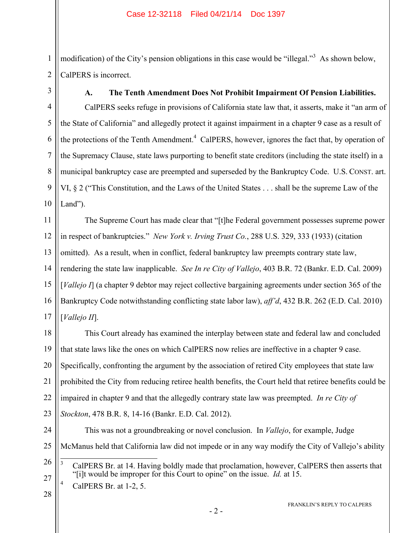modification) of the City's pension obligations in this case would be "illegal."<sup>3</sup> As shown below, CalPERS is incorrect.

4 5 6 7 8 9 10 **A. The Tenth Amendment Does Not Prohibit Impairment Of Pension Liabilities.**  CalPERS seeks refuge in provisions of California state law that, it asserts, make it "an arm of the State of California" and allegedly protect it against impairment in a chapter 9 case as a result of the protections of the Tenth Amendment.<sup>4</sup> CalPERS, however, ignores the fact that, by operation of the Supremacy Clause, state laws purporting to benefit state creditors (including the state itself) in a municipal bankruptcy case are preempted and superseded by the Bankruptcy Code. U.S. CONST. art. VI, § 2 ("This Constitution, and the Laws of the United States . . . shall be the supreme Law of the Land").

11 12 13 14 15 16 17 The Supreme Court has made clear that "[t]he Federal government possesses supreme power in respect of bankruptcies." *New York v. Irving Trust Co.*, 288 U.S. 329, 333 (1933) (citation omitted). As a result, when in conflict, federal bankruptcy law preempts contrary state law, rendering the state law inapplicable. *See In re City of Vallejo*, 403 B.R. 72 (Bankr. E.D. Cal. 2009) [*Vallejo I*] (a chapter 9 debtor may reject collective bargaining agreements under section 365 of the Bankruptcy Code notwithstanding conflicting state labor law), *aff'd*, 432 B.R. 262 (E.D. Cal. 2010) [*Vallejo II*].

18 19 20 21 22 23 This Court already has examined the interplay between state and federal law and concluded that state laws like the ones on which CalPERS now relies are ineffective in a chapter 9 case. Specifically, confronting the argument by the association of retired City employees that state law prohibited the City from reducing retiree health benefits, the Court held that retiree benefits could be impaired in chapter 9 and that the allegedly contrary state law was preempted. *In re City of Stockton*, 478 B.R. 8, 14-16 (Bankr. E.D. Cal. 2012).

24

1

2

3

McManus held that California law did not impede or in any way modify the City of Vallejo's ability

This was not a groundbreaking or novel conclusion. In *Vallejo*, for example, Judge

26

25

 $\frac{1}{3}$  CalPERS Br. at 14. Having boldly made that proclamation, however, CalPERS then asserts that "[i]t would be improper for this Court to opine" on the issue. *Id.* at 15. 4

CalPERS Br. at 1-2, 5.

28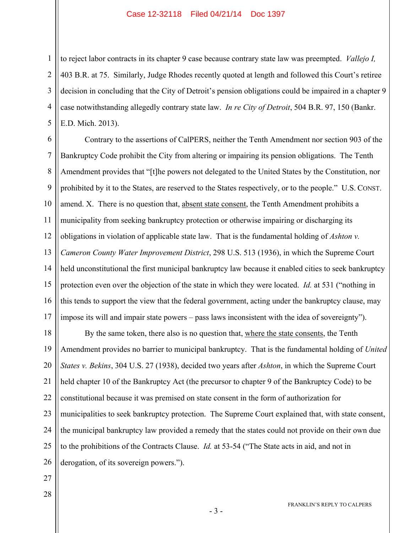to reject labor contracts in its chapter 9 case because contrary state law was preempted. *Vallejo I,*  403 B.R. at 75. Similarly, Judge Rhodes recently quoted at length and followed this Court's retiree decision in concluding that the City of Detroit's pension obligations could be impaired in a chapter 9 case notwithstanding allegedly contrary state law. *In re City of Detroit*, 504 B.R. 97, 150 (Bankr. E.D. Mich. 2013).

6 7 8 9 10 11 12 13 14 15 16 17 Contrary to the assertions of CalPERS, neither the Tenth Amendment nor section 903 of the Bankruptcy Code prohibit the City from altering or impairing its pension obligations. The Tenth Amendment provides that "[t]he powers not delegated to the United States by the Constitution, nor prohibited by it to the States, are reserved to the States respectively, or to the people." U.S. CONST. amend. X. There is no question that, absent state consent, the Tenth Amendment prohibits a municipality from seeking bankruptcy protection or otherwise impairing or discharging its obligations in violation of applicable state law. That is the fundamental holding of *Ashton v. Cameron County Water Improvement District*, 298 U.S. 513 (1936), in which the Supreme Court held unconstitutional the first municipal bankruptcy law because it enabled cities to seek bankruptcy protection even over the objection of the state in which they were located. *Id.* at 531 ("nothing in this tends to support the view that the federal government, acting under the bankruptcy clause, may impose its will and impair state powers – pass laws inconsistent with the idea of sovereignty").

18 19 20 21 22 23 24 25 26 By the same token, there also is no question that, where the state consents, the Tenth Amendment provides no barrier to municipal bankruptcy. That is the fundamental holding of *United States v. Bekins*, 304 U.S. 27 (1938), decided two years after *Ashton*, in which the Supreme Court held chapter 10 of the Bankruptcy Act (the precursor to chapter 9 of the Bankruptcy Code) to be constitutional because it was premised on state consent in the form of authorization for municipalities to seek bankruptcy protection. The Supreme Court explained that, with state consent, the municipal bankruptcy law provided a remedy that the states could not provide on their own due to the prohibitions of the Contracts Clause. *Id.* at 53-54 ("The State acts in aid, and not in derogation, of its sovereign powers.").

27

1

2

3

4

5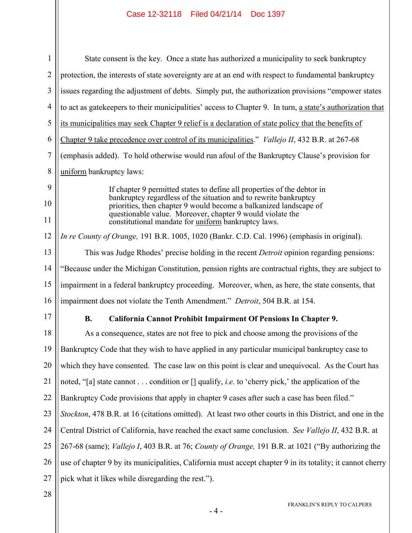| $\mathbf{1}$   | State consent is the key. Once a state has authorized a municipality to seek bankruptcy                                                                                                            |  |
|----------------|----------------------------------------------------------------------------------------------------------------------------------------------------------------------------------------------------|--|
| $\overline{2}$ | protection, the interests of state sovereignty are at an end with respect to fundamental bankruptcy                                                                                                |  |
| 3              | issues regarding the adjustment of debts. Simply put, the authorization provisions "empower states"                                                                                                |  |
| 4              | to act as gate keepers to their municipalities' access to Chapter 9. In turn, a state's authorization that                                                                                         |  |
| 5              | its municipalities may seek Chapter 9 relief is a declaration of state policy that the benefits of                                                                                                 |  |
| 6              | Chapter 9 take precedence over control of its municipalities." <i>Vallejo II</i> , 432 B.R. at 267-68                                                                                              |  |
| 7              | (emphasis added). To hold otherwise would run afoul of the Bankruptcy Clause's provision for                                                                                                       |  |
| 8              | uniform bankruptcy laws:                                                                                                                                                                           |  |
| 9              | If chapter 9 permitted states to define all properties of the debtor in                                                                                                                            |  |
| 10             | bankruptcy regardless of the situation and to rewrite bankruptcy<br>priorities, then chapter 9 would become a balkanized landscape of<br>questionable value. Moreover, chapter 9 would violate the |  |
| 11             | constitutional mandate for <u>uniform</u> bankruptcy laws.                                                                                                                                         |  |
| 12             | In re County of Orange, 191 B.R. 1005, 1020 (Bankr. C.D. Cal. 1996) (emphasis in original).                                                                                                        |  |
| 13             | This was Judge Rhodes' precise holding in the recent <i>Detroit</i> opinion regarding pensions:                                                                                                    |  |
| 14             | "Because under the Michigan Constitution, pension rights are contractual rights, they are subject to                                                                                               |  |
| 15             | impairment in a federal bankruptcy proceeding. Moreover, when, as here, the state consents, that                                                                                                   |  |
| 16             | impairment does not violate the Tenth Amendment." Detroit, 504 B.R. at 154.                                                                                                                        |  |
| 17             | California Cannot Prohibit Impairment Of Pensions In Chapter 9.<br><b>B.</b>                                                                                                                       |  |
| 18             | As a consequence, states are not free to pick and choose among the provisions of the                                                                                                               |  |
| 19             | Bankruptcy Code that they wish to have applied in any particular municipal bankruptcy case to                                                                                                      |  |
| 20             | which they have consented. The case law on this point is clear and unequivocal. As the Court has                                                                                                   |  |
| 21             | noted, "[a] state cannot condition or [] qualify, <i>i.e.</i> to 'cherry pick,' the application of the                                                                                             |  |
| 22             | Bankruptcy Code provisions that apply in chapter 9 cases after such a case has been filed."                                                                                                        |  |
| 23             | Stockton, 478 B.R. at 16 (citations omitted). At least two other courts in this District, and one in the                                                                                           |  |
| 24             | Central District of California, have reached the exact same conclusion. See Vallejo II, 432 B.R. at                                                                                                |  |
| 25             | 267-68 (same); Vallejo I, 403 B.R. at 76; County of Orange, 191 B.R. at 1021 ("By authorizing the                                                                                                  |  |
| 26             | use of chapter 9 by its municipalities, California must accept chapter 9 in its totality; it cannot cherry                                                                                         |  |
| 27             | pick what it likes while disregarding the rest.").                                                                                                                                                 |  |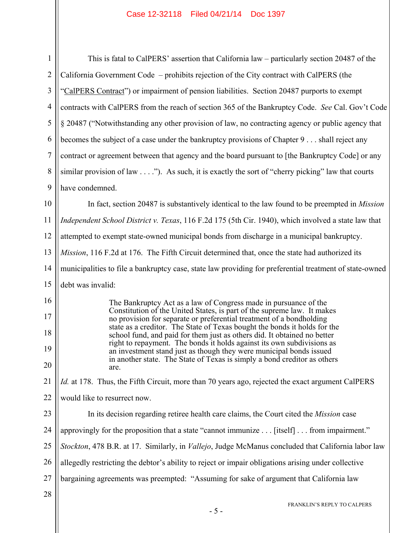| $\mathbf{1}$   | This is fatal to CalPERS' assertion that California law – particularly section 20487 of the                                                           |  |
|----------------|-------------------------------------------------------------------------------------------------------------------------------------------------------|--|
| $\overline{2}$ | California Government Code – prohibits rejection of the City contract with CalPERS (the                                                               |  |
| 3              | "CalPERS Contract") or impairment of pension liabilities. Section 20487 purports to exempt                                                            |  |
| $\overline{4}$ | contracts with CalPERS from the reach of section 365 of the Bankruptcy Code. See Cal. Gov't Code                                                      |  |
| 5              | § 20487 ("Notwithstanding any other provision of law, no contracting agency or public agency that                                                     |  |
| 6              | becomes the subject of a case under the bankruptcy provisions of Chapter 9 shall reject any                                                           |  |
| $\tau$         | contract or agreement between that agency and the board pursuant to [the Bankruptcy Code] or any                                                      |  |
| 8              | similar provision of law $\dots$ "). As such, it is exactly the sort of "cherry picking" law that courts                                              |  |
| 9              | have condemned.                                                                                                                                       |  |
| 10             | In fact, section 20487 is substantively identical to the law found to be preempted in <i>Mission</i>                                                  |  |
| 11             | Independent School District v. Texas, 116 F.2d 175 (5th Cir. 1940), which involved a state law that                                                   |  |
| 12             | attempted to exempt state-owned municipal bonds from discharge in a municipal bankruptcy.                                                             |  |
| 13             | Mission, 116 F.2d at 176. The Fifth Circuit determined that, once the state had authorized its                                                        |  |
| 14             | municipalities to file a bankruptcy case, state law providing for preferential treatment of state-owned                                               |  |
| 15             | debt was invalid:                                                                                                                                     |  |
| 16             | The Bankruptcy Act as a law of Congress made in pursuance of the                                                                                      |  |
| 17             | Constitution of the United States, is part of the supreme law. It makes<br>no provision for separate or preferential treatment of a bondholding       |  |
| 18             | state as a creditor. The State of Texas bought the bonds it holds for the<br>school fund, and paid for them just as others did. It obtained no better |  |
| 19             | right to repayment. The bonds it holds against its own subdivisions as<br>an investment stand just as though they were municipal bonds issued         |  |
| 20             | in another state. The State of Texas is simply a bond creditor as others<br>are.                                                                      |  |
| 21             | <i>Id.</i> at 178. Thus, the Fifth Circuit, more than 70 years ago, rejected the exact argument CalPERS                                               |  |
| 22             | would like to resurrect now.                                                                                                                          |  |
| 23             | In its decision regarding retiree health care claims, the Court cited the <i>Mission</i> case                                                         |  |
| 24             | approvingly for the proposition that a state "cannot immunize [itself] from impairment."                                                              |  |
| 25             | Stockton, 478 B.R. at 17. Similarly, in <i>Vallejo</i> , Judge McManus concluded that California labor law                                            |  |
| 26             | allegedly restricting the debtor's ability to reject or impair obligations arising under collective                                                   |  |
| 27             | bargaining agreements was preempted: "Assuming for sake of argument that California law                                                               |  |
| 28             |                                                                                                                                                       |  |
|                | FRANKLIN'S REPLY TO CALPERS                                                                                                                           |  |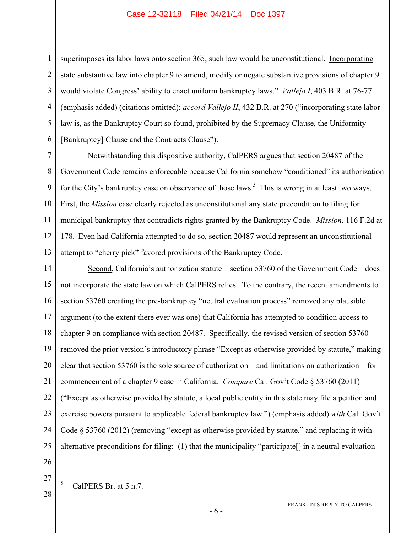1 2 3 4 5 6 superimposes its labor laws onto section 365, such law would be unconstitutional. Incorporating state substantive law into chapter 9 to amend, modify or negate substantive provisions of chapter 9 would violate Congress' ability to enact uniform bankruptcy laws." *Vallejo I*, 403 B.R. at 76-77 (emphasis added) (citations omitted); *accord Vallejo II*, 432 B.R. at 270 ("incorporating state labor law is, as the Bankruptcy Court so found, prohibited by the Supremacy Clause, the Uniformity [Bankruptcy] Clause and the Contracts Clause").

7 8 9 10 11 12 13 Notwithstanding this dispositive authority, CalPERS argues that section 20487 of the Government Code remains enforceable because California somehow "conditioned" its authorization for the City's bankruptcy case on observance of those laws.<sup>5</sup> This is wrong in at least two ways. First, the *Mission* case clearly rejected as unconstitutional any state precondition to filing for municipal bankruptcy that contradicts rights granted by the Bankruptcy Code. *Mission*, 116 F.2d at 178. Even had California attempted to do so, section 20487 would represent an unconstitutional attempt to "cherry pick" favored provisions of the Bankruptcy Code.

14 15 16 17 18 19 20 21 22 23 24 25 Second, California's authorization statute – section 53760 of the Government Code – does not incorporate the state law on which CalPERS relies. To the contrary, the recent amendments to section 53760 creating the pre-bankruptcy "neutral evaluation process" removed any plausible argument (to the extent there ever was one) that California has attempted to condition access to chapter 9 on compliance with section 20487. Specifically, the revised version of section 53760 removed the prior version's introductory phrase "Except as otherwise provided by statute," making clear that section 53760 is the sole source of authorization – and limitations on authorization – for commencement of a chapter 9 case in California. *Compare* Cal. Gov't Code § 53760 (2011) ("Except as otherwise provided by statute, a local public entity in this state may file a petition and exercise powers pursuant to applicable federal bankruptcy law.") (emphasis added) *with* Cal. Gov't Code § 53760 (2012) (removing "except as otherwise provided by statute," and replacing it with alternative preconditions for filing: (1) that the municipality "participate[] in a neutral evaluation

- 26
- 27 28

 $\frac{1}{5}$ 

CalPERS Br. at 5 n.7.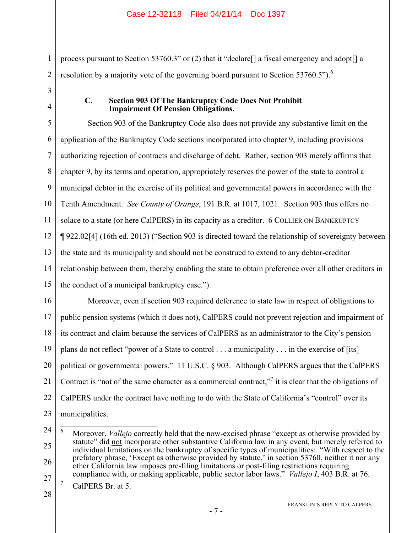process pursuant to Section 53760.3" or (2) that it "declare[] a fiscal emergency and adopt[] a resolution by a majority vote of the governing board pursuant to Section 53760.5").<sup>6</sup>

1

2

3

4

### **C. Section 903 Of The Bankruptcy Code Does Not Prohibit Impairment Of Pension Obligations.**

5 6 7 8 9 10 11 12 13 14 15 16 17 18 19 20 21 22 Section 903 of the Bankruptcy Code also does not provide any substantive limit on the application of the Bankruptcy Code sections incorporated into chapter 9, including provisions authorizing rejection of contracts and discharge of debt. Rather, section 903 merely affirms that chapter 9, by its terms and operation, appropriately reserves the power of the state to control a municipal debtor in the exercise of its political and governmental powers in accordance with the Tenth Amendment. *See County of Orange*, 191 B.R. at 1017, 1021. Section 903 thus offers no solace to a state (or here CalPERS) in its capacity as a creditor. 6 COLLIER ON BANKRUPTCY ¶ 922.02[4] (16th ed. 2013) ("Section 903 is directed toward the relationship of sovereignty between the state and its municipality and should not be construed to extend to any debtor-creditor relationship between them, thereby enabling the state to obtain preference over all other creditors in the conduct of a municipal bankruptcy case."). Moreover, even if section 903 required deference to state law in respect of obligations to public pension systems (which it does not), CalPERS could not prevent rejection and impairment of its contract and claim because the services of CalPERS as an administrator to the City's pension plans do not reflect "power of a State to control . . . a municipality . . . in the exercise of [its] political or governmental powers." 11 U.S.C. § 903. Although CalPERS argues that the CalPERS Contract is "not of the same character as a commercial contract," $\frac{1}{1}$  it is clear that the obligations of CalPERS under the contract have nothing to do with the State of California's "control" over its

23 municipalities.

- 7 CalPERS Br. at 5.
- 28

<sup>24</sup> 25 26 27 6 Moreover, *Vallejo* correctly held that the now-excised phrase "except as otherwise provided by statute" did not incorporate other substantive California law in any event, but merely referred to individual limitations on the bankruptcy of specific types of municipalities: "With respect to the prefatory phrase, 'Except as otherwise provided by statute,' in section 53760, neither it nor any other California law imposes pre-filing limitations or post-filing restrictions requiring compliance with, or making applicable, public sector labor laws." *Vallejo I*, 403 B.R. at 76.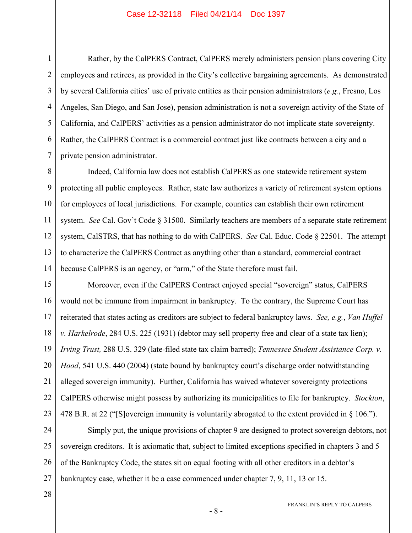1

2

3

5

6

7

Rather, by the CalPERS Contract, CalPERS merely administers pension plans covering City employees and retirees, as provided in the City's collective bargaining agreements. As demonstrated by several California cities' use of private entities as their pension administrators (*e.g.*, Fresno, Los Angeles, San Diego, and San Jose), pension administration is not a sovereign activity of the State of California, and CalPERS' activities as a pension administrator do not implicate state sovereignty. Rather, the CalPERS Contract is a commercial contract just like contracts between a city and a private pension administrator.

8 9 10 11 12 13 14 Indeed, California law does not establish CalPERS as one statewide retirement system protecting all public employees. Rather, state law authorizes a variety of retirement system options for employees of local jurisdictions. For example, counties can establish their own retirement system. *See* Cal. Gov't Code § 31500. Similarly teachers are members of a separate state retirement system, CalSTRS, that has nothing to do with CalPERS. *See* Cal. Educ. Code § 22501. The attempt to characterize the CalPERS Contract as anything other than a standard, commercial contract because CalPERS is an agency, or "arm," of the State therefore must fail.

15 16 17 18 19 20 21 22 23 Moreover, even if the CalPERS Contract enjoyed special "sovereign" status, CalPERS would not be immune from impairment in bankruptcy. To the contrary, the Supreme Court has reiterated that states acting as creditors are subject to federal bankruptcy laws. *See, e.g.*, *Van Huffel v. Harkelrode*, 284 U.S. 225 (1931) (debtor may sell property free and clear of a state tax lien); *Irving Trust,* 288 U.S. 329 (late-filed state tax claim barred); *Tennessee Student Assistance Corp. v. Hood*, 541 U.S. 440 (2004) (state bound by bankruptcy court's discharge order notwithstanding alleged sovereign immunity).Further, California has waived whatever sovereignty protections CalPERS otherwise might possess by authorizing its municipalities to file for bankruptcy. *Stockton*, 478 B.R. at 22 ("[S]overeign immunity is voluntarily abrogated to the extent provided in § 106.").

24 25 26 27 Simply put, the unique provisions of chapter 9 are designed to protect sovereign debtors, not sovereign creditors. It is axiomatic that, subject to limited exceptions specified in chapters 3 and 5 of the Bankruptcy Code, the states sit on equal footing with all other creditors in a debtor's bankruptcy case, whether it be a case commenced under chapter 7, 9, 11, 13 or 15.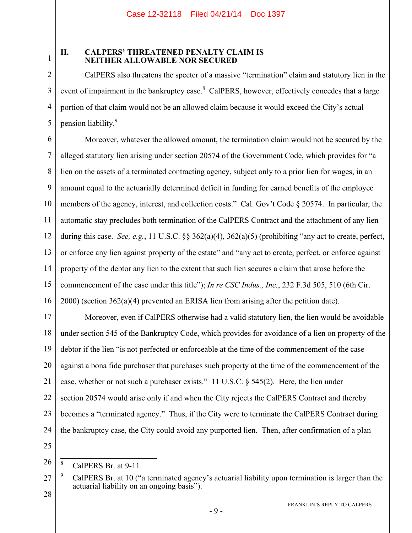## **II. CALPERS' THREATENED PENALTY CLAIM IS NEITHER ALLOWABLE NOR SECURED**

CalPERS also threatens the specter of a massive "termination" claim and statutory lien in the event of impairment in the bankruptcy case.<sup>8</sup> CalPERS, however, effectively concedes that a large portion of that claim would not be an allowed claim because it would exceed the City's actual pension liability.<sup>9</sup>

6 7 8 9 10 11 12 13 14 15 16 Moreover, whatever the allowed amount, the termination claim would not be secured by the alleged statutory lien arising under section 20574 of the Government Code, which provides for "a lien on the assets of a terminated contracting agency, subject only to a prior lien for wages, in an amount equal to the actuarially determined deficit in funding for earned benefits of the employee members of the agency, interest, and collection costs." Cal. Gov't Code § 20574. In particular, the automatic stay precludes both termination of the CalPERS Contract and the attachment of any lien during this case. *See, e.g.*, 11 U.S.C. §§ 362(a)(4), 362(a)(5) (prohibiting "any act to create, perfect, or enforce any lien against property of the estate" and "any act to create, perfect, or enforce against property of the debtor any lien to the extent that such lien secures a claim that arose before the commencement of the case under this title"); *In re CSC Indus., Inc.*, 232 F.3d 505, 510 (6th Cir. 2000) (section 362(a)(4) prevented an ERISA lien from arising after the petition date).

17 18 19 20 21 22 23 24 Moreover, even if CalPERS otherwise had a valid statutory lien, the lien would be avoidable under section 545 of the Bankruptcy Code, which provides for avoidance of a lien on property of the debtor if the lien "is not perfected or enforceable at the time of the commencement of the case against a bona fide purchaser that purchases such property at the time of the commencement of the case, whether or not such a purchaser exists." 11 U.S.C. § 545(2). Here, the lien under section 20574 would arise only if and when the City rejects the CalPERS Contract and thereby becomes a "terminated agency." Thus, if the City were to terminate the CalPERS Contract during the bankruptcy case, the City could avoid any purported lien. Then, after confirmation of a plan

25

1

2

3

4

5

<sup>26</sup> 8 CalPERS Br. at 9-11.

<sup>27</sup> 9 CalPERS Br. at 10 ("a terminated agency's actuarial liability upon termination is larger than the actuarial liability on an ongoing basis").